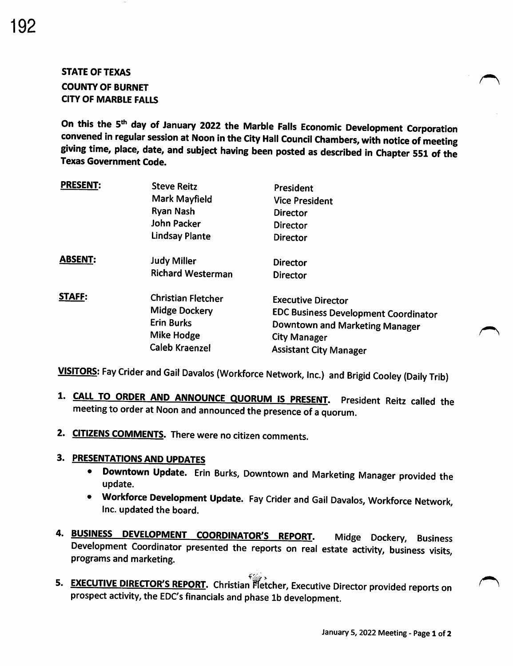# STATE OF TEXAS COUNTY OF BURNET CITY OF MARBLE FALLS

On this the 5<sup>th</sup> day of January 2022 the Marble Falls Economic Development Corporation convened in regular session at Noon in the City Hall Council Chambers, with notice of meeting giving time, place, date, and subject having been posted as described in Chapter 551 of the Texas Government Code.

| <b>PRESENT:</b> | <b>Steve Reitz</b><br>Mark Mayfield<br><b>Ryan Nash</b><br><b>John Packer</b><br><b>Lindsay Plante</b>        | President<br><b>Vice President</b><br><b>Director</b><br><b>Director</b><br><b>Director</b>                                                                        |
|-----------------|---------------------------------------------------------------------------------------------------------------|--------------------------------------------------------------------------------------------------------------------------------------------------------------------|
| <b>ABSENT:</b>  | <b>Judy Miller</b><br><b>Richard Westerman</b>                                                                | <b>Director</b><br><b>Director</b>                                                                                                                                 |
| <b>STAFF:</b>   | <b>Christian Fletcher</b><br><b>Midge Dockery</b><br><b>Erin Burks</b><br>Mike Hodge<br><b>Caleb Kraenzel</b> | <b>Executive Director</b><br><b>EDC Business Development Coordinator</b><br>Downtown and Marketing Manager<br><b>City Manager</b><br><b>Assistant City Manager</b> |

VISITORS: Fay Crider and Gail Davalos (Workforce Network, Inc.) and Brigid Cooley (Daily Trib)

- 1. CALL TO ORDER AND ANNOUNCE QUORUM IS PRESENT. President Reitz called the meeting to order at Noon and announced the presence of a quorum.
- 2. CITIZENS COMMENTS. There were no citizen comments.

#### 3. PRESENTATIONS AND UPDATES

- Downtown Update. Erin Burks, Downtown and Marketing Manager provided the update.
- Workforce Development Update. Fay Crider and Gail Davalos, Workforce Network, Inc. updated the board.
- 4. **BUSINESS DEVELOPMENT COORDINATOR'S REPORT**. Midge Dockery, Business Development Coordinator presented the reports on real estate activity, business visits, programs and marketing.
- S. EXECUTIVE DIRECTOR'S REPORT. Christian Fletcher, Executive Director provided reports on prospect activity, the EDC's financials and phase 1b development.

 $\sim$